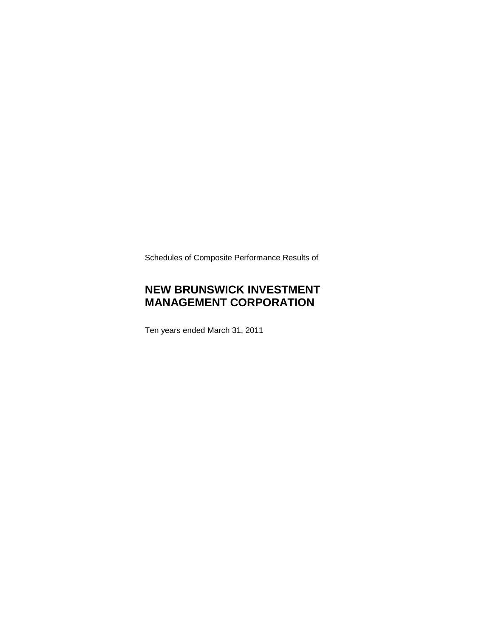Schedules of Composite Performance Results of

## **NEW BRUNSWICK INVESTMENT MANAGEMENT CORPORATION**

Ten years ended March 31, 2011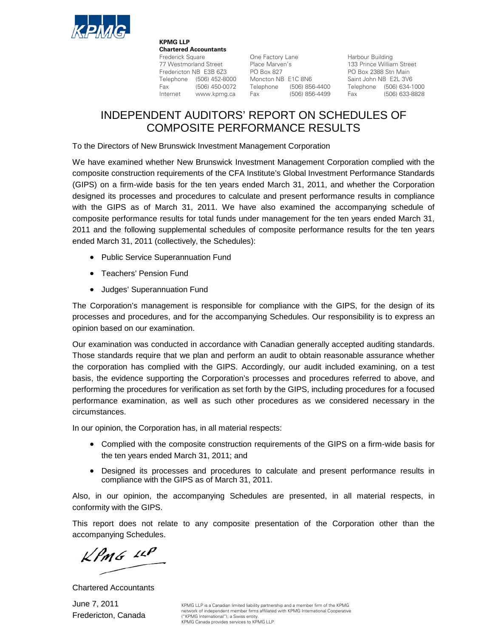

**KPMG LLP Chartered Accountants**<br>Frederick Square Frederick Square **Calcular Cone Factory Lane** Harbour Building<br>
The Marven's Traderick Cone Cone Traderick Cone Traderick Cone Cone Traderick Cone Traderick Cone Traderick Cone<br>
Traderick Cone Traderick Cone Traderick Cone Find Street Place Marven's<br>
The Marven's 133 Prince William Street<br>
Fredericton NB E3B 6Z3 PO Box 827 PO Box 2388 Stn Main<br>
Telephone (506) 452-8000 Moncton NB E1C 8N6 Saint John NB E2L 3V6 Fredericton NB E3B 6Z3 PO Box 827 PO Box 2388 Stn Main Telephone (506) 452-8000 Moncton NB E1C 8N6 Saint John NB E2L 3V6 Fax (506) 450-0072 Telephone (506) 856-4400 Telephone (506) 634-1000<br>Internet www.kpmg.ca Fax (506) 856-4499 Fax (506) 633-8828 Internet www.kpmg.ca Fax

## INDEPENDENT AUDITORS' REPORT ON SCHEDULES OF COMPOSITE PERFORMANCE RESULTS

To the Directors of New Brunswick Investment Management Corporation

We have examined whether New Brunswick Investment Management Corporation complied with the composite construction requirements of the CFA Institute's Global Investment Performance Standards (GIPS) on a firm-wide basis for the ten years ended March 31, 2011, and whether the Corporation designed its processes and procedures to calculate and present performance results in compliance with the GIPS as of March 31, 2011. We have also examined the accompanying schedule of composite performance results for total funds under management for the ten years ended March 31, 2011 and the following supplemental schedules of composite performance results for the ten years ended March 31, 2011 (collectively, the Schedules):

- Public Service Superannuation Fund
- Teachers' Pension Fund
- Judges' Superannuation Fund

The Corporation's management is responsible for compliance with the GIPS, for the design of its processes and procedures, and for the accompanying Schedules. Our responsibility is to express an opinion based on our examination.

Our examination was conducted in accordance with Canadian generally accepted auditing standards. Those standards require that we plan and perform an audit to obtain reasonable assurance whether the corporation has complied with the GIPS. Accordingly, our audit included examining, on a test basis, the evidence supporting the Corporation's processes and procedures referred to above, and performing the procedures for verification as set forth by the GIPS, including procedures for a focused performance examination, as well as such other procedures as we considered necessary in the circumstances.

In our opinion, the Corporation has, in all material respects:

- Complied with the composite construction requirements of the GIPS on a firm-wide basis for the ten years ended March 31, 2011; and
- Designed its processes and procedures to calculate and present performance results in compliance with the GIPS as of March 31, 2011.

Also, in our opinion, the accompanying Schedules are presented, in all material respects, in conformity with the GIPS.

This report does not relate to any composite presentation of the Corporation other than the accompanying Schedules.

 $KPMG$  11P

Chartered Accountants

June 7, 2011 Fredericton, Canada

KPMG LLP is a Canadian limited liability partnership and a member firm of the KPMG network of independent member firms affiliated with KPMG International Cooperative ("KPMG International"), a Swiss entity. KPMG Canada provides services to KPMG LLP.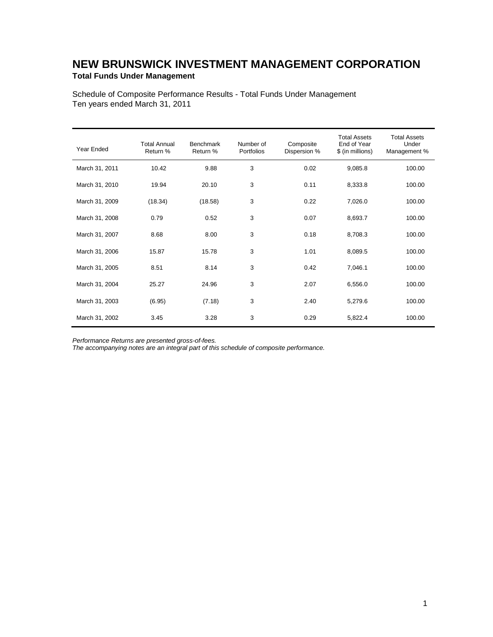### **NEW BRUNSWICK INVESTMENT MANAGEMENT CORPORATION Total Funds Under Management**

Schedule of Composite Performance Results - Total Funds Under Management Ten years ended March 31, 2011

| Year Ended     | <b>Total Annual</b><br>Return % | <b>Benchmark</b><br>Return % | Number of<br>Portfolios | Composite<br>Dispersion % | <b>Total Assets</b><br>End of Year<br>\$ (in millions) | <b>Total Assets</b><br>Under<br>Management % |
|----------------|---------------------------------|------------------------------|-------------------------|---------------------------|--------------------------------------------------------|----------------------------------------------|
| March 31, 2011 | 10.42                           | 9.88                         | 3                       | 0.02                      | 9,085.8                                                | 100.00                                       |
| March 31, 2010 | 19.94                           | 20.10                        | 3                       | 0.11                      | 8,333.8                                                | 100.00                                       |
| March 31, 2009 | (18.34)                         | (18.58)                      | 3                       | 0.22                      | 7,026.0                                                | 100.00                                       |
| March 31, 2008 | 0.79                            | 0.52                         | 3                       | 0.07                      | 8,693.7                                                | 100.00                                       |
| March 31, 2007 | 8.68                            | 8.00                         | 3                       | 0.18                      | 8,708.3                                                | 100.00                                       |
| March 31, 2006 | 15.87                           | 15.78                        | 3                       | 1.01                      | 8,089.5                                                | 100.00                                       |
| March 31, 2005 | 8.51                            | 8.14                         | 3                       | 0.42                      | 7,046.1                                                | 100.00                                       |
| March 31, 2004 | 25.27                           | 24.96                        | 3                       | 2.07                      | 6,556.0                                                | 100.00                                       |
| March 31, 2003 | (6.95)                          | (7.18)                       | 3                       | 2.40                      | 5,279.6                                                | 100.00                                       |
| March 31, 2002 | 3.45                            | 3.28                         | 3                       | 0.29                      | 5,822.4                                                | 100.00                                       |

*Performance Returns are presented gross-of-fees.*

*The accompanying notes are an integral part of this schedule of composite performance.*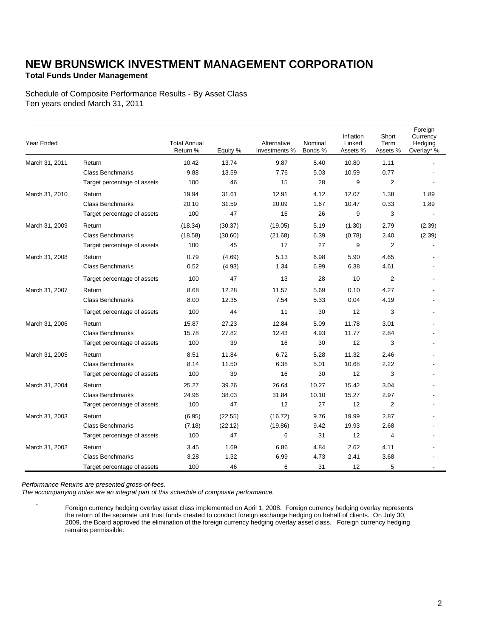### **Total Funds Under Management**

Schedule of Composite Performance Results - By Asset Class Ten years ended March 31, 2011

| Year Ended     |                             | <b>Total Annual</b><br>Return % | Equity % | Alternative<br>Investments % | Nominal<br>Bonds % | Inflation<br>Linked<br>Assets % | Short<br>Term<br>Assets % | Foreign<br>Currency<br>Hedging<br>Overlay* % |
|----------------|-----------------------------|---------------------------------|----------|------------------------------|--------------------|---------------------------------|---------------------------|----------------------------------------------|
| March 31, 2011 | Return                      | 10.42                           | 13.74    | 9.87                         | 5.40               | 10.80                           | 1.11                      |                                              |
|                | <b>Class Benchmarks</b>     | 9.88                            | 13.59    | 7.76                         | 5.03               | 10.59                           | 0.77                      |                                              |
|                | Target percentage of assets | 100                             | 46       | 15                           | 28                 | 9                               | $\overline{2}$            |                                              |
| March 31, 2010 | Return                      | 19.94                           | 31.61    | 12.91                        | 4.12               | 12.07                           | 1.38                      | 1.89                                         |
|                | <b>Class Benchmarks</b>     | 20.10                           | 31.59    | 20.09                        | 1.67               | 10.47                           | 0.33                      | 1.89                                         |
|                | Target percentage of assets | 100                             | 47       | 15                           | 26                 | 9                               | 3                         |                                              |
| March 31, 2009 | Return                      | (18.34)                         | (30.37)  | (19.05)                      | 5.19               | (1.30)                          | 2.79                      | (2.39)                                       |
|                | <b>Class Benchmarks</b>     | (18.58)                         | (30.60)  | (21.68)                      | 6.39               | (0.78)                          | 2.40                      | (2.39)                                       |
|                | Target percentage of assets | 100                             | 45       | 17                           | 27                 | 9                               | $\overline{2}$            |                                              |
| March 31, 2008 | Return                      | 0.79                            | (4.69)   | 5.13                         | 6.98               | 5.90                            | 4.65                      |                                              |
|                | <b>Class Benchmarks</b>     | 0.52                            | (4.93)   | 1.34                         | 6.99               | 6.38                            | 4.61                      |                                              |
|                | Target percentage of assets | 100                             | 47       | 13                           | 28                 | 10                              | 2                         |                                              |
| March 31, 2007 | Return                      | 8.68                            | 12.28    | 11.57                        | 5.69               | 0.10                            | 4.27                      |                                              |
|                | <b>Class Benchmarks</b>     | 8.00                            | 12.35    | 7.54                         | 5.33               | 0.04                            | 4.19                      |                                              |
|                | Target percentage of assets | 100                             | 44       | 11                           | 30                 | 12                              | 3                         |                                              |
| March 31, 2006 | Return                      | 15.87                           | 27.23    | 12.84                        | 5.09               | 11.78                           | 3.01                      |                                              |
|                | <b>Class Benchmarks</b>     | 15.78                           | 27.82    | 12.43                        | 4.93               | 11.77                           | 2.84                      |                                              |
|                | Target percentage of assets | 100                             | 39       | 16                           | 30                 | 12                              | 3                         |                                              |
| March 31, 2005 | Return                      | 8.51                            | 11.84    | 6.72                         | 5.28               | 11.32                           | 2.46                      |                                              |
|                | <b>Class Benchmarks</b>     | 8.14                            | 11.50    | 6.38                         | 5.01               | 10.68                           | 2.22                      |                                              |
|                | Target percentage of assets | 100                             | 39       | 16                           | 30                 | 12                              | 3                         |                                              |
| March 31, 2004 | Return                      | 25.27                           | 39.26    | 26.64                        | 10.27              | 15.42                           | 3.04                      |                                              |
|                | <b>Class Benchmarks</b>     | 24.96                           | 38.03    | 31.84                        | 10.10              | 15.27                           | 2.97                      |                                              |
|                | Target percentage of assets | 100                             | 47       | 12                           | 27                 | 12                              | $\overline{2}$            |                                              |
| March 31, 2003 | Return                      | (6.95)                          | (22.55)  | (16.72)                      | 9.76               | 19.99                           | 2.87                      |                                              |
|                | <b>Class Benchmarks</b>     | (7.18)                          | (22.12)  | (19.86)                      | 9.42               | 19.93                           | 2.68                      |                                              |
|                | Target percentage of assets | 100                             | 47       | 6                            | 31                 | 12                              | 4                         |                                              |
| March 31, 2002 | Return                      | 3.45                            | 1.69     | 6.86                         | 4.84               | 2.62                            | 4.11                      |                                              |
|                | <b>Class Benchmarks</b>     | 3.28                            | 1.32     | 6.99                         | 4.73               | 2.41                            | 3.68                      |                                              |
|                | Target percentage of assets | 100                             | 46       | 6                            | 31                 | 12                              | 5                         |                                              |

*Performance Returns are presented gross-of-fees.*

*The accompanying notes are an integral part of this schedule of composite performance.*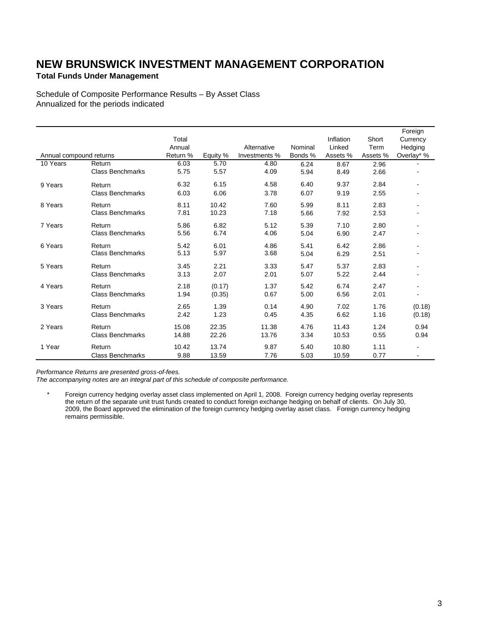### **Total Funds Under Management**

Schedule of Composite Performance Results – By Asset Class Annualized for the periods indicated

|                         |                         |          |          |               |         |           |          | Foreign                  |
|-------------------------|-------------------------|----------|----------|---------------|---------|-----------|----------|--------------------------|
|                         |                         | Total    |          |               |         | Inflation | Short    | Currency                 |
|                         |                         | Annual   |          | Alternative   | Nominal | Linked    | Term     | Hedging                  |
| Annual compound returns |                         | Return % | Equity % | Investments % | Bonds % | Assets %  | Assets % | Overlay* %               |
| 10 Years                | Return                  | 6.03     | 5.70     | 4.80          | 6.24    | 8.67      | 2.96     |                          |
|                         | <b>Class Benchmarks</b> | 5.75     | 5.57     | 4.09          | 5.94    | 8.49      | 2.66     |                          |
| 9 Years                 | Return                  | 6.32     | 6.15     | 4.58          | 6.40    | 9.37      | 2.84     | $\overline{\phantom{a}}$ |
|                         | <b>Class Benchmarks</b> | 6.03     | 6.06     | 3.78          | 6.07    | 9.19      | 2.55     |                          |
| 8 Years                 | Return                  | 8.11     | 10.42    | 7.60          | 5.99    | 8.11      | 2.83     |                          |
|                         | <b>Class Benchmarks</b> | 7.81     | 10.23    | 7.18          | 5.66    | 7.92      | 2.53     |                          |
| 7 Years                 | Return                  | 5.86     | 6.82     | 5.12          | 5.39    | 7.10      | 2.80     |                          |
|                         | <b>Class Benchmarks</b> | 5.56     | 6.74     | 4.06          | 5.04    | 6.90      | 2.47     |                          |
| 6 Years                 | Return                  | 5.42     | 6.01     | 4.86          | 5.41    | 6.42      | 2.86     |                          |
|                         | <b>Class Benchmarks</b> | 5.13     | 5.97     | 3.68          | 5.04    | 6.29      | 2.51     |                          |
| 5 Years                 | Return                  | 3.45     | 2.21     | 3.33          | 5.47    | 5.37      | 2.83     |                          |
|                         | <b>Class Benchmarks</b> | 3.13     | 2.07     | 2.01          | 5.07    | 5.22      | 2.44     |                          |
| 4 Years                 | Return                  | 2.18     | (0.17)   | 1.37          | 5.42    | 6.74      | 2.47     |                          |
|                         | <b>Class Benchmarks</b> | 1.94     | (0.35)   | 0.67          | 5.00    | 6.56      | 2.01     | $\overline{a}$           |
| 3 Years                 | Return                  | 2.65     | 1.39     | 0.14          | 4.90    | 7.02      | 1.76     | (0.18)                   |
|                         | <b>Class Benchmarks</b> | 2.42     | 1.23     | 0.45          | 4.35    | 6.62      | 1.16     | (0.18)                   |
| 2 Years                 | Return                  | 15.08    | 22.35    | 11.38         | 4.76    | 11.43     | 1.24     | 0.94                     |
|                         | <b>Class Benchmarks</b> | 14.88    | 22.26    | 13.76         | 3.34    | 10.53     | 0.55     | 0.94                     |
| 1 Year                  | Return                  | 10.42    | 13.74    | 9.87          | 5.40    | 10.80     | 1.11     | $\blacksquare$           |
|                         | <b>Class Benchmarks</b> | 9.88     | 13.59    | 7.76          | 5.03    | 10.59     | 0.77     |                          |

*Performance Returns are presented gross-of-fees.*

*The accompanying notes are an integral part of this schedule of composite performance.*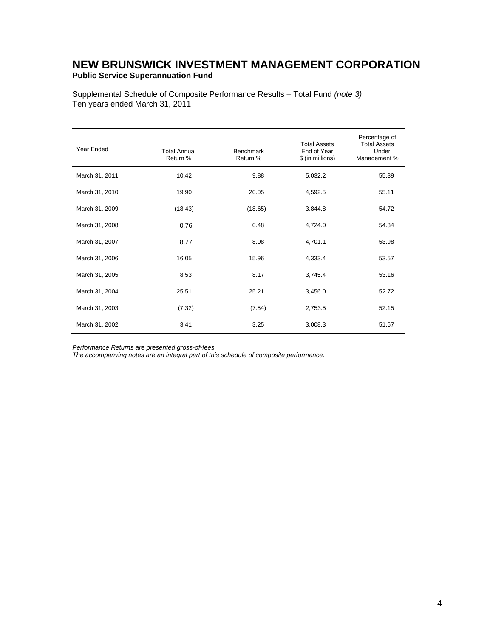### **NEW BRUNSWICK INVESTMENT MANAGEMENT CORPORATION Public Service Superannuation Fund**

Supplemental Schedule of Composite Performance Results – Total Fund *(note 3)*  Ten years ended March 31, 2011

| Year Ended     | <b>Total Annual</b><br>Return % | <b>Benchmark</b><br>Return % | <b>Total Assets</b><br>End of Year<br>\$ (in millions) | Percentage of<br><b>Total Assets</b><br>Under<br>Management % |
|----------------|---------------------------------|------------------------------|--------------------------------------------------------|---------------------------------------------------------------|
| March 31, 2011 | 10.42                           | 9.88                         | 5,032.2                                                | 55.39                                                         |
| March 31, 2010 | 19.90                           | 20.05                        | 4,592.5                                                | 55.11                                                         |
| March 31, 2009 | (18.43)                         | (18.65)                      | 3,844.8                                                | 54.72                                                         |
| March 31, 2008 | 0.76                            | 0.48                         | 4,724.0                                                | 54.34                                                         |
| March 31, 2007 | 8.77                            | 8.08                         | 4,701.1                                                | 53.98                                                         |
| March 31, 2006 | 16.05                           | 15.96                        | 4,333.4                                                | 53.57                                                         |
| March 31, 2005 | 8.53                            | 8.17                         | 3,745.4                                                | 53.16                                                         |
| March 31, 2004 | 25.51                           | 25.21                        | 3,456.0                                                | 52.72                                                         |
| March 31, 2003 | (7.32)                          | (7.54)                       | 2,753.5                                                | 52.15                                                         |
| March 31, 2002 | 3.41                            | 3.25                         | 3,008.3                                                | 51.67                                                         |

*Performance Returns are presented gross-of-fees.* 

*The accompanying notes are an integral part of this schedule of composite performance.*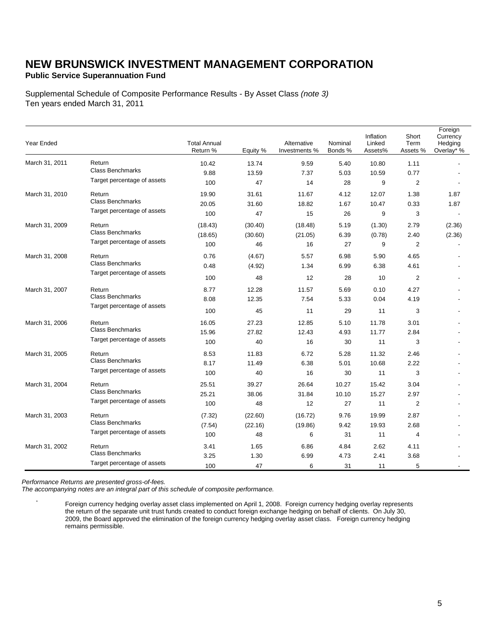**Public Service Superannuation Fund**

Supplemental Schedule of Composite Performance Results - By Asset Class *(note 3)* Ten years ended March 31, 2011

| Year Ended     |                             | <b>Total Annual</b><br>Return % | Equity % | Alternative<br>Investments % | Nominal<br>Bonds % | Inflation<br>Linked<br>Assets% | Short<br>Term<br>Assets % | Foreign<br>Currency<br>Hedging<br>Overlay* % |
|----------------|-----------------------------|---------------------------------|----------|------------------------------|--------------------|--------------------------------|---------------------------|----------------------------------------------|
| March 31, 2011 | Return                      | 10.42                           | 13.74    | 9.59                         | 5.40               | 10.80                          | 1.11                      |                                              |
|                | <b>Class Benchmarks</b>     | 9.88                            | 13.59    | 7.37                         | 5.03               | 10.59                          | 0.77                      |                                              |
|                | Target percentage of assets | 100                             | 47       | 14                           | 28                 | 9                              | $\overline{2}$            |                                              |
| March 31, 2010 | Return                      | 19.90                           | 31.61    | 11.67                        | 4.12               | 12.07                          | 1.38                      | 1.87                                         |
|                | <b>Class Benchmarks</b>     | 20.05                           | 31.60    | 18.82                        | 1.67               | 10.47                          | 0.33                      | 1.87                                         |
|                | Target percentage of assets | 100                             | 47       | 15                           | 26                 | 9                              | 3                         |                                              |
| March 31, 2009 | Return                      | (18.43)                         | (30.40)  | (18.48)                      | 5.19               | (1.30)                         | 2.79                      | (2.36)                                       |
|                | <b>Class Benchmarks</b>     | (18.65)                         | (30.60)  | (21.05)                      | 6.39               | (0.78)                         | 2.40                      | (2.36)                                       |
|                | Target percentage of assets | 100                             | 46       | 16                           | 27                 | 9                              | 2                         |                                              |
| March 31, 2008 | Return                      | 0.76                            | (4.67)   | 5.57                         | 6.98               | 5.90                           | 4.65                      |                                              |
|                | <b>Class Benchmarks</b>     | 0.48                            | (4.92)   | 1.34                         | 6.99               | 6.38                           | 4.61                      |                                              |
|                | Target percentage of assets | 100                             | 48       | 12                           | 28                 | 10                             | $\overline{2}$            |                                              |
| March 31, 2007 | Return                      | 8.77                            | 12.28    | 11.57                        | 5.69               | 0.10                           | 4.27                      |                                              |
|                | <b>Class Benchmarks</b>     | 8.08                            | 12.35    | 7.54                         | 5.33               | 0.04                           | 4.19                      |                                              |
|                | Target percentage of assets | 100                             | 45       | 11                           | 29                 | 11                             | 3                         |                                              |
| March 31, 2006 | Return                      | 16.05                           | 27.23    | 12.85                        | 5.10               | 11.78                          | 3.01                      |                                              |
|                | <b>Class Benchmarks</b>     | 15.96                           | 27.82    | 12.43                        | 4.93               | 11.77                          | 2.84                      |                                              |
|                | Target percentage of assets | 100                             | 40       | 16                           | 30                 | 11                             | 3                         |                                              |
| March 31, 2005 | Return                      | 8.53                            | 11.83    | 6.72                         | 5.28               | 11.32                          | 2.46                      |                                              |
|                | <b>Class Benchmarks</b>     | 8.17                            | 11.49    | 6.38                         | 5.01               | 10.68                          | 2.22                      |                                              |
|                | Target percentage of assets | 100                             | 40       | 16                           | 30                 | 11                             | 3                         |                                              |
| March 31, 2004 | Return                      | 25.51                           | 39.27    | 26.64                        | 10.27              | 15.42                          | 3.04                      |                                              |
|                | <b>Class Benchmarks</b>     | 25.21                           | 38.06    | 31.84                        | 10.10              | 15.27                          | 2.97                      |                                              |
|                | Target percentage of assets | 100                             | 48       | 12                           | 27                 | 11                             | $\overline{2}$            |                                              |
| March 31, 2003 | Return                      | (7.32)                          | (22.60)  | (16.72)                      | 9.76               | 19.99                          | 2.87                      |                                              |
|                | <b>Class Benchmarks</b>     | (7.54)                          | (22.16)  | (19.86)                      | 9.42               | 19.93                          | 2.68                      |                                              |
|                | Target percentage of assets | 100                             | 48       | 6                            | 31                 | 11                             | $\overline{4}$            |                                              |
| March 31, 2002 | Return                      | 3.41                            | 1.65     | 6.86                         | 4.84               | 2.62                           | 4.11                      |                                              |
|                | <b>Class Benchmarks</b>     | 3.25                            | 1.30     | 6.99                         | 4.73               | 2.41                           | 3.68                      |                                              |
|                | Target percentage of assets | 100                             | 47       | 6                            | 31                 | 11                             | 5                         |                                              |

*Performance Returns are presented gross-of-fees.*

*The accompanying notes are an integral part of this schedule of composite performance.*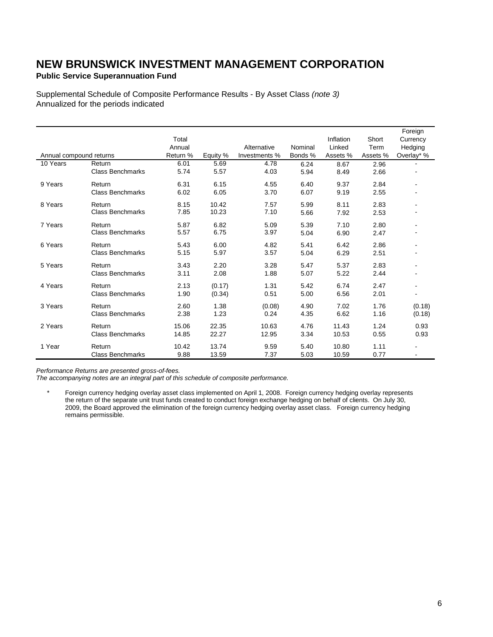**Public Service Superannuation Fund**

Supplemental Schedule of Composite Performance Results - By Asset Class *(note 3)* Annualized for the periods indicated

|                         |                         |          |          |               |         |           |          | Foreign                  |
|-------------------------|-------------------------|----------|----------|---------------|---------|-----------|----------|--------------------------|
|                         |                         | Total    |          |               |         | Inflation | Short    | Currency                 |
|                         |                         | Annual   |          | Alternative   | Nominal | Linked    | Term     | Hedging                  |
| Annual compound returns |                         | Return % | Equity % | Investments % | Bonds % | Assets %  | Assets % | Overlay* %               |
| 10 Years                | Return                  | 6.01     | 5.69     | 4.78          | 6.24    | 8.67      | 2.96     |                          |
|                         | <b>Class Benchmarks</b> | 5.74     | 5.57     | 4.03          | 5.94    | 8.49      | 2.66     |                          |
| 9 Years                 | Return                  | 6.31     | 6.15     | 4.55          | 6.40    | 9.37      | 2.84     | $\blacksquare$           |
|                         | <b>Class Benchmarks</b> | 6.02     | 6.05     | 3.70          | 6.07    | 9.19      | 2.55     |                          |
| 8 Years                 | Return                  | 8.15     | 10.42    | 7.57          | 5.99    | 8.11      | 2.83     |                          |
|                         | <b>Class Benchmarks</b> | 7.85     | 10.23    | 7.10          | 5.66    | 7.92      | 2.53     |                          |
| 7 Years                 | Return                  | 5.87     | 6.82     | 5.09          | 5.39    | 7.10      | 2.80     |                          |
|                         | <b>Class Benchmarks</b> | 5.57     | 6.75     | 3.97          | 5.04    | 6.90      | 2.47     |                          |
| 6 Years                 | Return                  | 5.43     | 6.00     | 4.82          | 5.41    | 6.42      | 2.86     |                          |
|                         | <b>Class Benchmarks</b> | 5.15     | 5.97     | 3.57          | 5.04    | 6.29      | 2.51     |                          |
| 5 Years                 | Return                  | 3.43     | 2.20     | 3.28          | 5.47    | 5.37      | 2.83     |                          |
|                         | <b>Class Benchmarks</b> | 3.11     | 2.08     | 1.88          | 5.07    | 5.22      | 2.44     |                          |
| 4 Years                 | Return                  | 2.13     | (0.17)   | 1.31          | 5.42    | 6.74      | 2.47     |                          |
|                         | <b>Class Benchmarks</b> | 1.90     | (0.34)   | 0.51          | 5.00    | 6.56      | 2.01     | $\overline{\phantom{a}}$ |
| 3 Years                 | Return                  | 2.60     | 1.38     | (0.08)        | 4.90    | 7.02      | 1.76     | (0.18)                   |
|                         | <b>Class Benchmarks</b> | 2.38     | 1.23     | 0.24          | 4.35    | 6.62      | 1.16     | (0.18)                   |
| 2 Years                 | Return                  | 15.06    | 22.35    | 10.63         | 4.76    | 11.43     | 1.24     | 0.93                     |
|                         | <b>Class Benchmarks</b> | 14.85    | 22.27    | 12.95         | 3.34    | 10.53     | 0.55     | 0.93                     |
| 1 Year                  | Return                  | 10.42    | 13.74    | 9.59          | 5.40    | 10.80     | 1.11     |                          |
|                         | <b>Class Benchmarks</b> | 9.88     | 13.59    | 7.37          | 5.03    | 10.59     | 0.77     | $\blacksquare$           |

*Performance Returns are presented gross-of-fees.*

*The accompanying notes are an integral part of this schedule of composite performance.*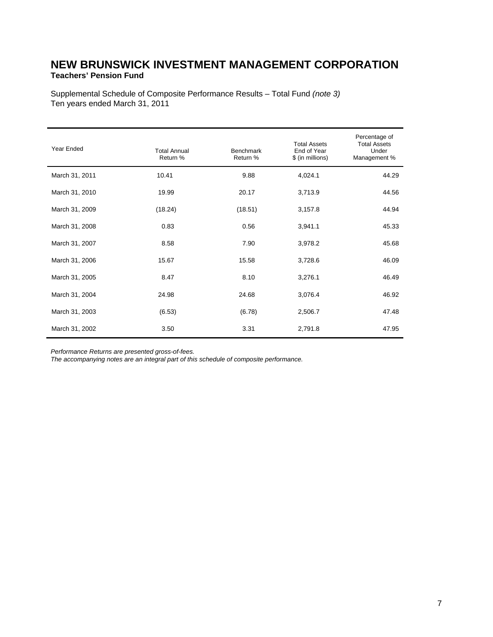### **NEW BRUNSWICK INVESTMENT MANAGEMENT CORPORATION Teachers' Pension Fund**

Supplemental Schedule of Composite Performance Results – Total Fund *(note 3)*  Ten years ended March 31, 2011

| Year Ended     | <b>Total Annual</b><br>Return % | <b>Benchmark</b><br>Return % | <b>Total Assets</b><br>End of Year<br>\$ (in millions) | Percentage of<br><b>Total Assets</b><br>Under<br>Management % |
|----------------|---------------------------------|------------------------------|--------------------------------------------------------|---------------------------------------------------------------|
| March 31, 2011 | 10.41                           | 9.88                         | 4,024.1                                                | 44.29                                                         |
| March 31, 2010 | 19.99                           | 20.17                        | 3,713.9                                                | 44.56                                                         |
| March 31, 2009 | (18.24)                         | (18.51)                      | 3,157.8                                                | 44.94                                                         |
| March 31, 2008 | 0.83                            | 0.56                         | 3,941.1                                                | 45.33                                                         |
| March 31, 2007 | 8.58                            | 7.90                         | 3,978.2                                                | 45.68                                                         |
| March 31, 2006 | 15.67                           | 15.58                        | 3,728.6                                                | 46.09                                                         |
| March 31, 2005 | 8.47                            | 8.10                         | 3,276.1                                                | 46.49                                                         |
| March 31, 2004 | 24.98                           | 24.68                        | 3,076.4                                                | 46.92                                                         |
| March 31, 2003 | (6.53)                          | (6.78)                       | 2,506.7                                                | 47.48                                                         |
| March 31, 2002 | 3.50                            | 3.31                         | 2,791.8                                                | 47.95                                                         |

*Performance Returns are presented gross-of-fees.* 

*The accompanying notes are an integral part of this schedule of composite performance.*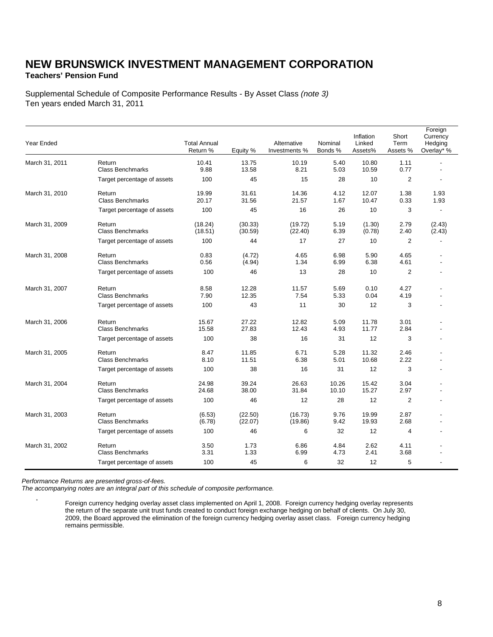### **NEW BRUNSWICK INVESTMENT MANAGEMENT CORPORATION Teachers' Pension Fund**

Supplemental Schedule of Composite Performance Results - By Asset Class *(note 3)* Ten years ended March 31, 2011

| Year Ended     |                                   | <b>Total Annual</b><br>Return % | Equity %           | Alternative<br>Investments % | Nominal<br>Bonds % | Inflation<br>Linked<br>Assets% | Short<br>Term<br>Assets % | Foreign<br>Currency<br>Hedging<br>Overlay* % |
|----------------|-----------------------------------|---------------------------------|--------------------|------------------------------|--------------------|--------------------------------|---------------------------|----------------------------------------------|
| March 31, 2011 | Return<br><b>Class Benchmarks</b> | 10.41<br>9.88                   | 13.75<br>13.58     | 10.19<br>8.21                | 5.40<br>5.03       | 10.80<br>10.59                 | 1.11<br>0.77              | Ĭ.                                           |
|                | Target percentage of assets       | 100                             | 45                 | 15                           | 28                 | 10                             | $\overline{2}$            |                                              |
| March 31, 2010 | Return<br><b>Class Benchmarks</b> | 19.99<br>20.17                  | 31.61<br>31.56     | 14.36<br>21.57               | 4.12<br>1.67       | 12.07<br>10.47                 | 1.38<br>0.33              | 1.93<br>1.93                                 |
|                | Target percentage of assets       | 100                             | 45                 | 16                           | 26                 | 10                             | 3                         | $\blacksquare$                               |
| March 31, 2009 | Return<br><b>Class Benchmarks</b> | (18.24)<br>(18.51)              | (30.33)<br>(30.59) | (19.72)<br>(22.40)           | 5.19<br>6.39       | (1.30)<br>(0.78)               | 2.79<br>2.40              | (2.43)<br>(2.43)                             |
|                | Target percentage of assets       | 100                             | 44                 | 17                           | 27                 | 10                             | 2                         |                                              |
| March 31, 2008 | Return<br><b>Class Benchmarks</b> | 0.83<br>0.56                    | (4.72)<br>(4.94)   | 4.65<br>1.34                 | 6.98<br>6.99       | 5.90<br>6.38                   | 4.65<br>4.61              | ٠                                            |
|                | Target percentage of assets       | 100                             | 46                 | 13                           | 28                 | 10                             | $\overline{c}$            | ٠                                            |
| March 31, 2007 | Return<br><b>Class Benchmarks</b> | 8.58<br>7.90                    | 12.28<br>12.35     | 11.57<br>7.54                | 5.69<br>5.33       | 0.10<br>0.04                   | 4.27<br>4.19              |                                              |
|                | Target percentage of assets       | 100                             | 43                 | 11                           | 30                 | 12                             | 3                         |                                              |
| March 31, 2006 | Return<br><b>Class Benchmarks</b> | 15.67<br>15.58                  | 27.22<br>27.83     | 12.82<br>12.43               | 5.09<br>4.93       | 11.78<br>11.77                 | 3.01<br>2.84              |                                              |
|                | Target percentage of assets       | 100                             | 38                 | 16                           | 31                 | 12                             | 3                         | $\overline{a}$                               |
| March 31, 2005 | Return<br><b>Class Benchmarks</b> | 8.47<br>8.10                    | 11.85<br>11.51     | 6.71<br>6.38                 | 5.28<br>5.01       | 11.32<br>10.68                 | 2.46<br>2.22              |                                              |
|                | Target percentage of assets       | 100                             | 38                 | 16                           | 31                 | 12                             | 3                         |                                              |
| March 31, 2004 | Return<br><b>Class Benchmarks</b> | 24.98<br>24.68                  | 39.24<br>38.00     | 26.63<br>31.84               | 10.26<br>10.10     | 15.42<br>15.27                 | 3.04<br>2.97              |                                              |
|                | Target percentage of assets       | 100                             | 46                 | 12                           | 28                 | 12                             | $\overline{2}$            |                                              |
| March 31, 2003 | Return<br><b>Class Benchmarks</b> | (6.53)<br>(6.78)                | (22.50)<br>(22.07) | (16.73)<br>(19.86)           | 9.76<br>9.42       | 19.99<br>19.93                 | 2.87<br>2.68              |                                              |
|                | Target percentage of assets       | 100                             | 46                 | 6                            | 32                 | 12                             | 4                         | $\overline{a}$                               |
| March 31, 2002 | Return<br><b>Class Benchmarks</b> | 3.50<br>3.31                    | 1.73<br>1.33       | 6.86<br>6.99                 | 4.84<br>4.73       | 2.62<br>2.41                   | 4.11<br>3.68              |                                              |
|                | Target percentage of assets       | 100                             | 45                 | 6                            | 32                 | 12                             | 5                         |                                              |

*Performance Returns are presented gross-of-fees.*

*The accompanying notes are an integral part of this schedule of composite performance.*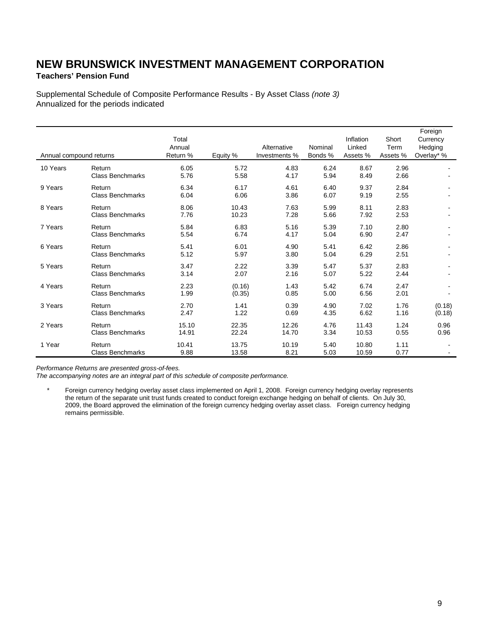### **Teachers' Pension Fund**

Supplemental Schedule of Composite Performance Results - By Asset Class *(note 3)* Annualized for the periods indicated

| Annual compound returns |                                   | Total<br>Annual<br>Return % | Equity %         | Alternative<br>Investments % | Nominal<br>Bonds % | Inflation<br>Linked<br>Assets % | Short<br>Term<br>Assets % | Foreign<br>Currency<br>Hedging<br>Overlay* % |
|-------------------------|-----------------------------------|-----------------------------|------------------|------------------------------|--------------------|---------------------------------|---------------------------|----------------------------------------------|
| 10 Years                | Return<br><b>Class Benchmarks</b> | 6.05<br>5.76                | 5.72<br>5.58     | 4.83<br>4.17                 | 6.24<br>5.94       | 8.67<br>8.49                    | 2.96<br>2.66              |                                              |
| 9 Years                 | Return<br><b>Class Benchmarks</b> | 6.34<br>6.04                | 6.17<br>6.06     | 4.61<br>3.86                 | 6.40<br>6.07       | 9.37<br>9.19                    | 2.84<br>2.55              |                                              |
| 8 Years                 | Return<br><b>Class Benchmarks</b> | 8.06<br>7.76                | 10.43<br>10.23   | 7.63<br>7.28                 | 5.99<br>5.66       | 8.11<br>7.92                    | 2.83<br>2.53              |                                              |
| 7 Years                 | Return<br><b>Class Benchmarks</b> | 5.84<br>5.54                | 6.83<br>6.74     | 5.16<br>4.17                 | 5.39<br>5.04       | 7.10<br>6.90                    | 2.80<br>2.47              |                                              |
| 6 Years                 | Return<br><b>Class Benchmarks</b> | 5.41<br>5.12                | 6.01<br>5.97     | 4.90<br>3.80                 | 5.41<br>5.04       | 6.42<br>6.29                    | 2.86<br>2.51              |                                              |
| 5 Years                 | Return<br><b>Class Benchmarks</b> | 3.47<br>3.14                | 2.22<br>2.07     | 3.39<br>2.16                 | 5.47<br>5.07       | 5.37<br>5.22                    | 2.83<br>2.44              |                                              |
| 4 Years                 | Return<br><b>Class Benchmarks</b> | 2.23<br>1.99                | (0.16)<br>(0.35) | 1.43<br>0.85                 | 5.42<br>5.00       | 6.74<br>6.56                    | 2.47<br>2.01              |                                              |
| 3 Years                 | Return<br><b>Class Benchmarks</b> | 2.70<br>2.47                | 1.41<br>1.22     | 0.39<br>0.69                 | 4.90<br>4.35       | 7.02<br>6.62                    | 1.76<br>1.16              | (0.18)<br>(0.18)                             |
| 2 Years                 | Return<br><b>Class Benchmarks</b> | 15.10<br>14.91              | 22.35<br>22.24   | 12.26<br>14.70               | 4.76<br>3.34       | 11.43<br>10.53                  | 1.24<br>0.55              | 0.96<br>0.96                                 |
| 1 Year                  | Return<br><b>Class Benchmarks</b> | 10.41<br>9.88               | 13.75<br>13.58   | 10.19<br>8.21                | 5.40<br>5.03       | 10.80<br>10.59                  | 1.11<br>0.77              |                                              |

*Performance Returns are presented gross-of-fees.*

*The accompanying notes are an integral part of this schedule of composite performance.*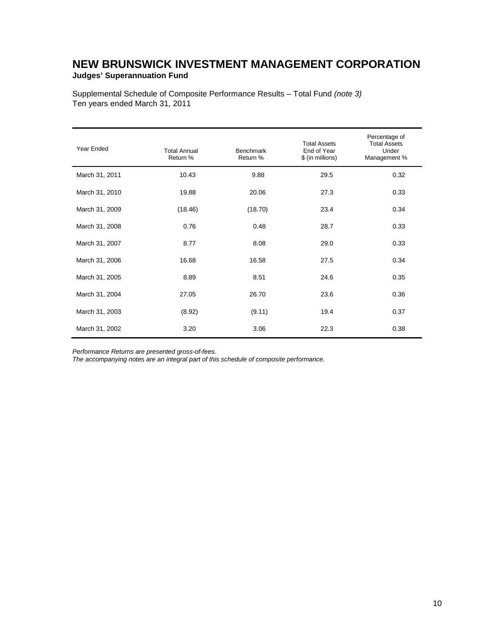### **NEW BRUNSWICK INVESTMENT MANAGEMENT CORPORATION Judges' Superannuation Fund**

Supplemental Schedule of Composite Performance Results – Total Fund *(note 3)* Ten years ended March 31, 2011

| Year Ended     | <b>Total Annual</b><br>Return % | <b>Benchmark</b><br>Return % | <b>Total Assets</b><br>End of Year<br>\$ (in millions) | Percentage of<br><b>Total Assets</b><br>Under<br>Management % |
|----------------|---------------------------------|------------------------------|--------------------------------------------------------|---------------------------------------------------------------|
| March 31, 2011 | 10.43                           | 9.88                         | 29.5                                                   | 0.32                                                          |
| March 31, 2010 | 19.88                           | 20.06                        | 27.3                                                   | 0.33                                                          |
| March 31, 2009 | (18.46)                         | (18.70)                      | 23.4                                                   | 0.34                                                          |
| March 31, 2008 | 0.76                            | 0.48                         | 28.7                                                   | 0.33                                                          |
| March 31, 2007 | 8.77                            | 8.08                         | 29.0                                                   | 0.33                                                          |
| March 31, 2006 | 16.68                           | 16.58                        | 27.5                                                   | 0.34                                                          |
| March 31, 2005 | 8.89                            | 8.51                         | 24.6                                                   | 0.35                                                          |
| March 31, 2004 | 27.05                           | 26.70                        | 23.6                                                   | 0.36                                                          |
| March 31, 2003 | (8.92)                          | (9.11)                       | 19.4                                                   | 0.37                                                          |
| March 31, 2002 | 3.20                            | 3.06                         | 22.3                                                   | 0.38                                                          |

*Performance Returns are presented gross-of-fees.*

*The accompanying notes are an integral part of this schedule of composite performance.*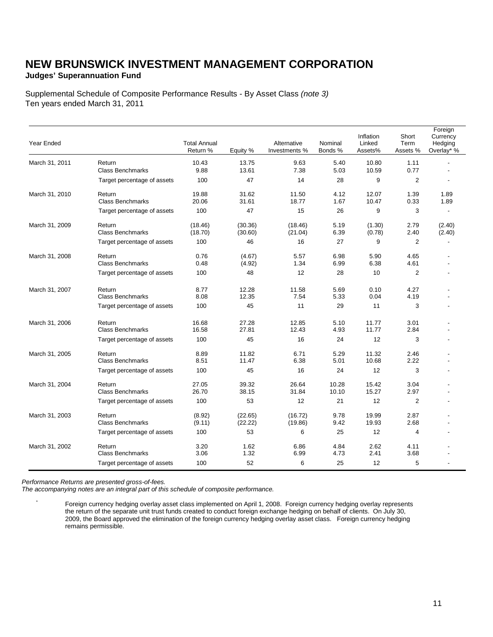### **Judges' Superannuation Fund**

Supplemental Schedule of Composite Performance Results - By Asset Class *(note 3)* Ten years ended March 31, 2011

| Year Ended     |                                   | <b>Total Annual</b><br>Return % | Equity %           | Alternative<br>Investments % | Nominal<br>Bonds % | Inflation<br>Linked<br>Assets% | Short<br>Term<br>Assets % | Foreign<br>Currency<br>Hedging<br>Overlay* % |
|----------------|-----------------------------------|---------------------------------|--------------------|------------------------------|--------------------|--------------------------------|---------------------------|----------------------------------------------|
| March 31, 2011 | Return<br><b>Class Benchmarks</b> | 10.43<br>9.88                   | 13.75<br>13.61     | 9.63<br>7.38                 | 5.40<br>5.03       | 10.80<br>10.59                 | 1.11<br>0.77              | $\overline{\phantom{a}}$                     |
|                | Target percentage of assets       | 100                             | 47                 | 14                           | 28                 | 9                              | $\overline{2}$            |                                              |
| March 31, 2010 | Return<br><b>Class Benchmarks</b> | 19.88<br>20.06                  | 31.62<br>31.61     | 11.50<br>18.77               | 4.12<br>1.67       | 12.07<br>10.47                 | 1.39<br>0.33              | 1.89<br>1.89                                 |
|                | Target percentage of assets       | 100                             | 47                 | 15                           | 26                 | 9                              | 3                         |                                              |
| March 31, 2009 | Return<br><b>Class Benchmarks</b> | (18.46)<br>(18.70)              | (30.36)<br>(30.60) | (18.46)<br>(21.04)           | 5.19<br>6.39       | (1.30)<br>(0.78)               | 2.79<br>2.40              | (2.40)<br>(2.40)                             |
|                | Target percentage of assets       | 100                             | 46                 | 16                           | 27                 | 9                              | $\overline{2}$            |                                              |
| March 31, 2008 | Return<br><b>Class Benchmarks</b> | 0.76<br>0.48                    | (4.67)<br>(4.92)   | 5.57<br>1.34                 | 6.98<br>6.99       | 5.90<br>6.38                   | 4.65<br>4.61              |                                              |
|                | Target percentage of assets       | 100                             | 48                 | 12                           | 28                 | 10                             | $\overline{2}$            |                                              |
| March 31, 2007 | Return<br><b>Class Benchmarks</b> | 8.77<br>8.08                    | 12.28<br>12.35     | 11.58<br>7.54                | 5.69<br>5.33       | 0.10<br>0.04                   | 4.27<br>4.19              |                                              |
|                | Target percentage of assets       | 100                             | 45                 | 11                           | 29                 | 11                             | 3                         |                                              |
| March 31, 2006 | Return<br><b>Class Benchmarks</b> | 16.68<br>16.58                  | 27.28<br>27.81     | 12.85<br>12.43               | 5.10<br>4.93       | 11.77<br>11.77                 | 3.01<br>2.84              |                                              |
|                | Target percentage of assets       | 100                             | 45                 | 16                           | 24                 | 12                             | 3                         |                                              |
| March 31, 2005 | Return<br><b>Class Benchmarks</b> | 8.89<br>8.51                    | 11.82<br>11.47     | 6.71<br>6.38                 | 5.29<br>5.01       | 11.32<br>10.68                 | 2.46<br>2.22              |                                              |
|                | Target percentage of assets       | 100                             | 45                 | 16                           | 24                 | 12                             | 3                         |                                              |
| March 31, 2004 | Return<br><b>Class Benchmarks</b> | 27.05<br>26.70                  | 39.32<br>38.15     | 26.64<br>31.84               | 10.28<br>10.10     | 15.42<br>15.27                 | 3.04<br>2.97              |                                              |
|                | Target percentage of assets       | 100                             | 53                 | 12                           | 21                 | 12                             | $\overline{2}$            |                                              |
| March 31, 2003 | Return<br><b>Class Benchmarks</b> | (8.92)<br>(9.11)                | (22.65)<br>(22.22) | (16.72)<br>(19.86)           | 9.78<br>9.42       | 19.99<br>19.93                 | 2.87<br>2.68              |                                              |
|                | Target percentage of assets       | 100                             | 53                 | 6                            | 25                 | 12                             | 4                         |                                              |
| March 31, 2002 | Return<br><b>Class Benchmarks</b> | 3.20<br>3.06                    | 1.62<br>1.32       | 6.86<br>6.99                 | 4.84<br>4.73       | 2.62<br>2.41                   | 4.11<br>3.68              |                                              |
|                | Target percentage of assets       | 100                             | 52                 | 6                            | 25                 | 12                             | 5                         |                                              |

*Performance Returns are presented gross-of-fees.*

*The accompanying notes are an integral part of this schedule of composite performance.*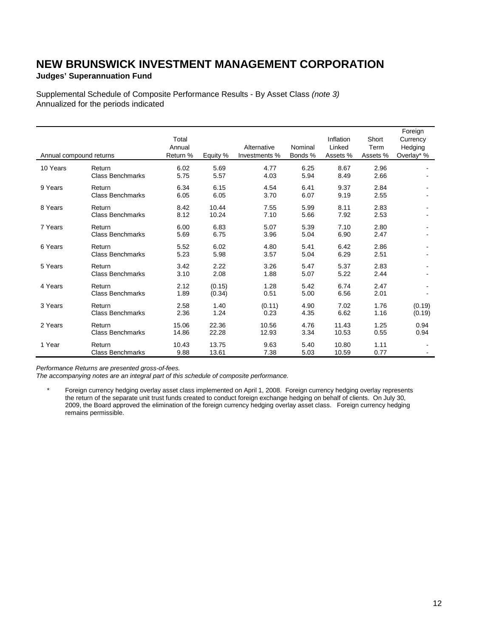### **Judges' Superannuation Fund**

Supplemental Schedule of Composite Performance Results - By Asset Class *(note 3)* Annualized for the periods indicated

| Annual compound returns |                                   | Total<br>Annual<br>Return % | Equity %         | Alternative<br>Investments % | Nominal<br>Bonds % | Inflation<br>Linked<br>Assets % | Short<br>Term<br>Assets % | Foreign<br>Currency<br>Hedging<br>Overlay* % |
|-------------------------|-----------------------------------|-----------------------------|------------------|------------------------------|--------------------|---------------------------------|---------------------------|----------------------------------------------|
| 10 Years                | Return<br><b>Class Benchmarks</b> | 6.02<br>5.75                | 5.69<br>5.57     | 4.77<br>4.03                 | 6.25<br>5.94       | 8.67<br>8.49                    | 2.96<br>2.66              |                                              |
| 9 Years                 | Return<br><b>Class Benchmarks</b> | 6.34<br>6.05                | 6.15<br>6.05     | 4.54<br>3.70                 | 6.41<br>6.07       | 9.37<br>9.19                    | 2.84<br>2.55              |                                              |
| 8 Years                 | Return<br><b>Class Benchmarks</b> | 8.42<br>8.12                | 10.44<br>10.24   | 7.55<br>7.10                 | 5.99<br>5.66       | 8.11<br>7.92                    | 2.83<br>2.53              |                                              |
| 7 Years                 | Return<br><b>Class Benchmarks</b> | 6.00<br>5.69                | 6.83<br>6.75     | 5.07<br>3.96                 | 5.39<br>5.04       | 7.10<br>6.90                    | 2.80<br>2.47              |                                              |
| 6 Years                 | Return<br><b>Class Benchmarks</b> | 5.52<br>5.23                | 6.02<br>5.98     | 4.80<br>3.57                 | 5.41<br>5.04       | 6.42<br>6.29                    | 2.86<br>2.51              | ۰                                            |
| 5 Years                 | Return<br><b>Class Benchmarks</b> | 3.42<br>3.10                | 2.22<br>2.08     | 3.26<br>1.88                 | 5.47<br>5.07       | 5.37<br>5.22                    | 2.83<br>2.44              |                                              |
| 4 Years                 | Return<br><b>Class Benchmarks</b> | 2.12<br>1.89                | (0.15)<br>(0.34) | 1.28<br>0.51                 | 5.42<br>5.00       | 6.74<br>6.56                    | 2.47<br>2.01              |                                              |
| 3 Years                 | Return<br><b>Class Benchmarks</b> | 2.58<br>2.36                | 1.40<br>1.24     | (0.11)<br>0.23               | 4.90<br>4.35       | 7.02<br>6.62                    | 1.76<br>1.16              | (0.19)<br>(0.19)                             |
| 2 Years                 | Return<br><b>Class Benchmarks</b> | 15.06<br>14.86              | 22.36<br>22.28   | 10.56<br>12.93               | 4.76<br>3.34       | 11.43<br>10.53                  | 1.25<br>0.55              | 0.94<br>0.94                                 |
| 1 Year                  | Return<br><b>Class Benchmarks</b> | 10.43<br>9.88               | 13.75<br>13.61   | 9.63<br>7.38                 | 5.40<br>5.03       | 10.80<br>10.59                  | 1.11<br>0.77              |                                              |

*Performance Returns are presented gross-of-fees.*

*The accompanying notes are an integral part of this schedule of composite performance.*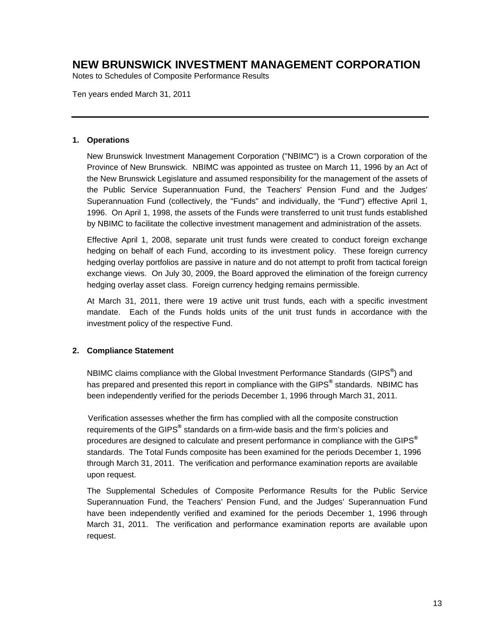Notes to Schedules of Composite Performance Results

Ten years ended March 31, 2011

#### **1. Operations**

New Brunswick Investment Management Corporation ("NBIMC") is a Crown corporation of the Province of New Brunswick. NBIMC was appointed as trustee on March 11, 1996 by an Act of the New Brunswick Legislature and assumed responsibility for the management of the assets of the Public Service Superannuation Fund, the Teachers' Pension Fund and the Judges' Superannuation Fund (collectively, the "Funds" and individually, the "Fund") effective April 1, 1996. On April 1, 1998, the assets of the Funds were transferred to unit trust funds established by NBIMC to facilitate the collective investment management and administration of the assets.

Effective April 1, 2008, separate unit trust funds were created to conduct foreign exchange hedging on behalf of each Fund, according to its investment policy. These foreign currency hedging overlay portfolios are passive in nature and do not attempt to profit from tactical foreign exchange views. On July 30, 2009, the Board approved the elimination of the foreign currency hedging overlay asset class. Foreign currency hedging remains permissible.

At March 31, 2011, there were 19 active unit trust funds, each with a specific investment mandate. Each of the Funds holds units of the unit trust funds in accordance with the investment policy of the respective Fund.

#### **2. Compliance Statement**

 NBIMC claims compliance with the Global Investment Performance Standards (GIPS**®** ) and has prepared and presented this report in compliance with the GIPS**®** standards. NBIMC has been independently verified for the periods December 1, 1996 through March 31, 2011.

 Verification assesses whether the firm has complied with all the composite construction requirements of the GIPS**®** standards on a firm-wide basis and the firm's policies and procedures are designed to calculate and present performance in compliance with the GIPS**®** standards. The Total Funds composite has been examined for the periods December 1, 1996 through March 31, 2011. The verification and performance examination reports are available upon request.

The Supplemental Schedules of Composite Performance Results for the Public Service Superannuation Fund, the Teachers' Pension Fund, and the Judges' Superannuation Fund have been independently verified and examined for the periods December 1, 1996 through March 31, 2011. The verification and performance examination reports are available upon request.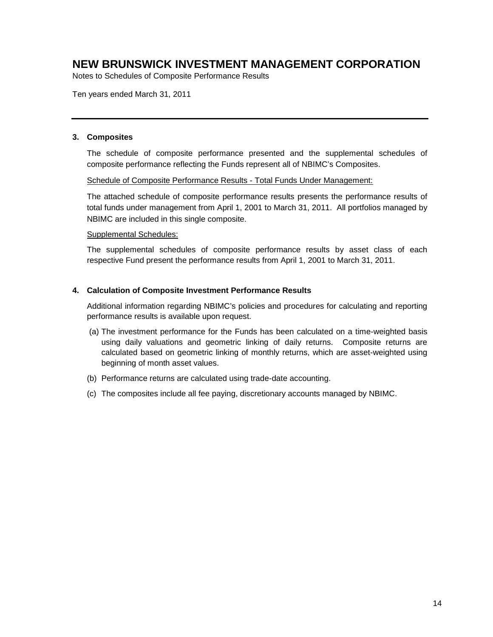Notes to Schedules of Composite Performance Results

Ten years ended March 31, 2011

#### **3. Composites**

The schedule of composite performance presented and the supplemental schedules of composite performance reflecting the Funds represent all of NBIMC's Composites.

#### Schedule of Composite Performance Results - Total Funds Under Management:

The attached schedule of composite performance results presents the performance results of total funds under management from April 1, 2001 to March 31, 2011. All portfolios managed by NBIMC are included in this single composite.

#### Supplemental Schedules:

The supplemental schedules of composite performance results by asset class of each respective Fund present the performance results from April 1, 2001 to March 31, 2011.

#### **4. Calculation of Composite Investment Performance Results**

Additional information regarding NBIMC's policies and procedures for calculating and reporting performance results is available upon request.

- (a) The investment performance for the Funds has been calculated on a time-weighted basis using daily valuations and geometric linking of daily returns. Composite returns are calculated based on geometric linking of monthly returns, which are asset-weighted using beginning of month asset values.
- (b) Performance returns are calculated using trade-date accounting.
- (c) The composites include all fee paying, discretionary accounts managed by NBIMC.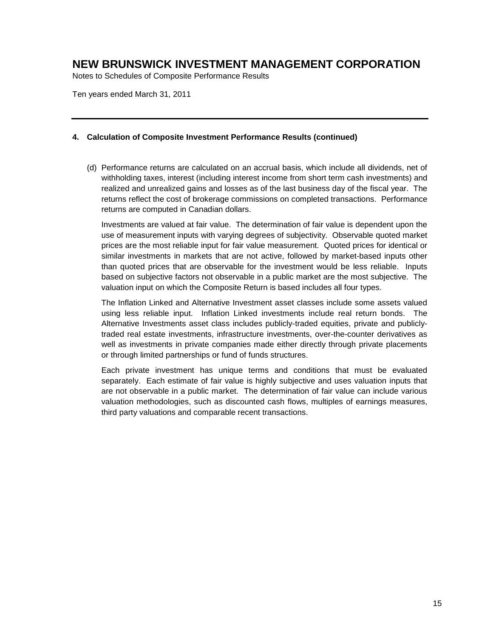Notes to Schedules of Composite Performance Results

Ten years ended March 31, 2011

#### **4. Calculation of Composite Investment Performance Results (continued)**

(d) Performance returns are calculated on an accrual basis, which include all dividends, net of withholding taxes, interest (including interest income from short term cash investments) and realized and unrealized gains and losses as of the last business day of the fiscal year. The returns reflect the cost of brokerage commissions on completed transactions. Performance returns are computed in Canadian dollars.

Investments are valued at fair value. The determination of fair value is dependent upon the use of measurement inputs with varying degrees of subjectivity. Observable quoted market prices are the most reliable input for fair value measurement. Quoted prices for identical or similar investments in markets that are not active, followed by market-based inputs other than quoted prices that are observable for the investment would be less reliable. Inputs based on subjective factors not observable in a public market are the most subjective. The valuation input on which the Composite Return is based includes all four types.

The Inflation Linked and Alternative Investment asset classes include some assets valued using less reliable input. Inflation Linked investments include real return bonds. The Alternative Investments asset class includes publicly-traded equities, private and publiclytraded real estate investments, infrastructure investments, over-the-counter derivatives as well as investments in private companies made either directly through private placements or through limited partnerships or fund of funds structures.

Each private investment has unique terms and conditions that must be evaluated separately. Each estimate of fair value is highly subjective and uses valuation inputs that are not observable in a public market. The determination of fair value can include various valuation methodologies, such as discounted cash flows, multiples of earnings measures, third party valuations and comparable recent transactions.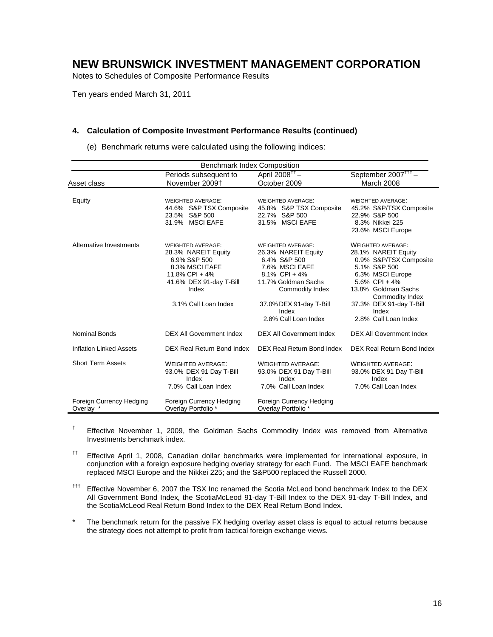Notes to Schedules of Composite Performance Results

Ten years ended March 31, 2011

#### **4. Calculation of Composite Investment Performance Results (continued)**

| <b>Benchmark Index Composition</b>    |                                                                                                                                                                 |                                                                                                                                                                                                          |                                                                                                                                                                                                                                         |  |  |
|---------------------------------------|-----------------------------------------------------------------------------------------------------------------------------------------------------------------|----------------------------------------------------------------------------------------------------------------------------------------------------------------------------------------------------------|-----------------------------------------------------------------------------------------------------------------------------------------------------------------------------------------------------------------------------------------|--|--|
|                                       | Periods subsequent to                                                                                                                                           | April 2008 <sup>††</sup> –                                                                                                                                                                               | September 2007 <sup>111</sup> -                                                                                                                                                                                                         |  |  |
| Asset class                           | November 2009+                                                                                                                                                  | October 2009                                                                                                                                                                                             | March 2008                                                                                                                                                                                                                              |  |  |
| Equity                                | <b>WEIGHTED AVERAGE:</b><br>44.6% S&P TSX Composite<br>23.5% S&P 500<br>31.9% MSCI EAFE                                                                         | <b>WEIGHTED AVERAGE:</b><br>45.8% S&P TSX Composite<br>22.7% S&P 500<br>31.5% MSCI EAFE                                                                                                                  | WEIGHTED AVERAGE:<br>45.2% S&P/TSX Composite<br>22.9% S&P 500<br>8.3% Nikkei 225<br>23.6% MSCI Europe                                                                                                                                   |  |  |
| Alternative Investments               | <b>WEIGHTED AVERAGE:</b><br>28.3% NAREIT Equity<br>6.9% S&P 500<br>8.3% MSCI EAFE<br>11.8% CPI + 4%<br>41.6% DEX 91-day T-Bill<br>Index<br>3.1% Call Loan Index | <b>WEIGHTED AVERAGE:</b><br>26.3% NAREIT Equity<br>6.4% S&P 500<br>7.6% MSCI EAFE<br>8.1% CPI + 4%<br>11.7% Goldman Sachs<br>Commodity Index<br>37.0% DEX 91-day T-Bill<br>Index<br>2.8% Call Loan Index | <b>WEIGHTED AVERAGE:</b><br>28.1% NAREIT Equity<br>0.9% S&P/TSX Composite<br>5.1% S&P 500<br>6.3% MSCI Europe<br>5.6% CPI + $4\%$<br>13.8% Goldman Sachs<br>Commodity Index<br>37.3% DEX 91-day T-Bill<br>Index<br>2.8% Call Loan Index |  |  |
| <b>Nominal Bonds</b>                  | <b>DEX All Government Index</b>                                                                                                                                 | <b>DEX All Government Index</b>                                                                                                                                                                          | <b>DEX All Government Index</b>                                                                                                                                                                                                         |  |  |
| <b>Inflation Linked Assets</b>        | DEX Real Return Bond Index                                                                                                                                      | DEX Real Return Bond Index                                                                                                                                                                               | DEX Real Return Bond Index                                                                                                                                                                                                              |  |  |
| <b>Short Term Assets</b>              | <b>WEIGHTED AVERAGE:</b><br>93.0% DEX 91 Day T-Bill<br>Index<br>7.0% Call Loan Index                                                                            | <b>WEIGHTED AVERAGE:</b><br>93.0% DEX 91 Day T-Bill<br>Index<br>7.0% Call Loan Index                                                                                                                     | <b>WEIGHTED AVERAGE:</b><br>93.0% DEX 91 Day T-Bill<br>Index<br>7.0% Call Loan Index                                                                                                                                                    |  |  |
| Foreign Currency Hedging<br>Overlay * | Foreign Currency Hedging<br>Overlay Portfolio *                                                                                                                 | Foreign Currency Hedging<br>Overlay Portfolio *                                                                                                                                                          |                                                                                                                                                                                                                                         |  |  |

(e) Benchmark returns were calculated using the following indices:

- † Effective November 1, 2009, the Goldman Sachs Commodity Index was removed from Alternative Investments benchmark index.
- †† Effective April 1, 2008, Canadian dollar benchmarks were implemented for international exposure, in conjunction with a foreign exposure hedging overlay strategy for each Fund. The MSCI EAFE benchmark replaced MSCI Europe and the Nikkei 225; and the S&P500 replaced the Russell 2000.
- ††† Effective November 6, 2007 the TSX Inc renamed the Scotia McLeod bond benchmark Index to the DEX All Government Bond Index, the ScotiaMcLeod 91-day T-Bill Index to the DEX 91-day T-Bill Index, and the ScotiaMcLeod Real Return Bond Index to the DEX Real Return Bond Index.
- The benchmark return for the passive FX hedging overlay asset class is equal to actual returns because the strategy does not attempt to profit from tactical foreign exchange views.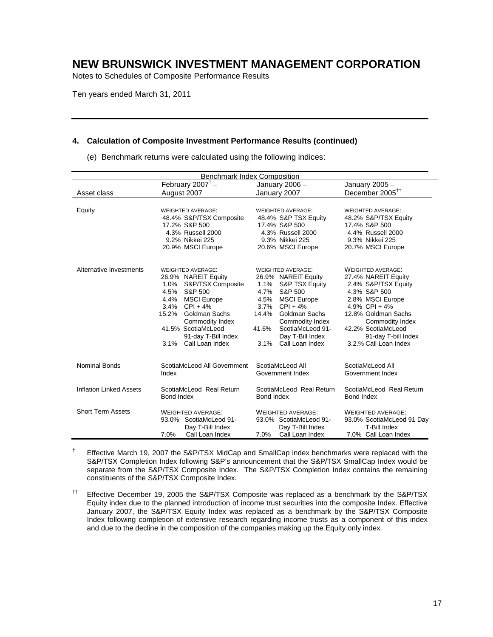Notes to Schedules of Composite Performance Results

Ten years ended March 31, 2011

#### **4. Calculation of Composite Investment Performance Results (continued)**

(e) Benchmark returns were calculated using the following indices:

| <b>Benchmark Index Composition</b> |                                           |                                           |                                                  |  |  |
|------------------------------------|-------------------------------------------|-------------------------------------------|--------------------------------------------------|--|--|
|                                    | February 2007 $+$                         | January 2006 -                            | January 2005 -                                   |  |  |
| Asset class                        | August 2007                               | January 2007                              | December 2005 <sup>††</sup>                      |  |  |
|                                    |                                           |                                           |                                                  |  |  |
| Equity                             | <b>WEIGHTED AVERAGE:</b>                  | <b>WEIGHTED AVERAGE:</b>                  | <b>WEIGHTED AVERAGE:</b><br>48.2% S&P/TSX Equity |  |  |
|                                    | 48.4% S&P/TSX Composite                   | 48.4% S&P TSX Equity                      |                                                  |  |  |
|                                    | 17.2% S&P 500<br>4.3% Russell 2000        | 17.4% S&P 500                             | 17.4% S&P 500                                    |  |  |
|                                    | 9.2% Nikkei 225                           | 4.3% Russell 2000<br>9.3% Nikkei 225      | 4.4% Russell 2000<br>9.3% Nikkei 225             |  |  |
|                                    | 20.9% MSCI Europe                         | 20.6% MSCI Europe                         | 20.7% MSCI Europe                                |  |  |
|                                    |                                           |                                           |                                                  |  |  |
|                                    |                                           |                                           |                                                  |  |  |
| Alternative Investments            | <b>WEIGHTED AVERAGE:</b>                  | <b>WEIGHTED AVERAGE:</b>                  | <b>WEIGHTED AVERAGE:</b>                         |  |  |
|                                    | 26.9% NAREIT Equity                       | 26.9% NAREIT Equity                       | 27.4% NAREIT Equity                              |  |  |
|                                    | 1.0%<br>S&P/TSX Composite                 | 1.1%<br>S&P TSX Equity                    | 2.4% S&P/TSX Equity                              |  |  |
|                                    | 4.5%<br>S&P 500                           | S&P 500<br>4.7%                           | 4.3% S&P 500                                     |  |  |
|                                    | <b>MSCI Europe</b><br>4.4%                | <b>MSCI</b> Europe<br>4.5%                | 2.8% MSCI Europe                                 |  |  |
|                                    | 3.4%<br>$CPI + 4%$                        | 3.7%<br>$CPI + 4%$                        | 4.9% CPI + $4\%$                                 |  |  |
|                                    | 15.2%<br>Goldman Sachs<br>Commodity Index | Goldman Sachs<br>14.4%<br>Commodity Index | 12.8% Goldman Sachs<br>Commodity Index           |  |  |
|                                    | 41.5% ScotiaMcLeod                        | 41.6%<br>ScotiaMcLeod 91-                 | 42.2% ScotiaMcLeod                               |  |  |
|                                    | 91-day T-Bill Index                       | Day T-Bill Index                          | 91-day T-bill Index                              |  |  |
|                                    | 3.1% Call Loan Index                      | 3.1%<br>Call Loan Index                   | 3.2.% Call Loan Index                            |  |  |
|                                    |                                           |                                           |                                                  |  |  |
|                                    |                                           |                                           |                                                  |  |  |
| <b>Nominal Bonds</b>               | ScotiaMcLeod All Government<br>Index      | ScotiaMcLeod All<br>Government Index      | ScotiaMcLeod All<br>Government Index             |  |  |
|                                    |                                           |                                           |                                                  |  |  |
| <b>Inflation Linked Assets</b>     | ScotiaMcLeod Real Return                  | ScotiaMcLeod Real Return                  | ScotiaMcLeod Real Return                         |  |  |
|                                    | Bond Index                                | Bond Index                                | Bond Index                                       |  |  |
|                                    |                                           |                                           |                                                  |  |  |
| Short Term Assets                  | <b>WEIGHTED AVERAGE:</b>                  | <b>WEIGHTED AVERAGE:</b>                  | <b>WEIGHTED AVERAGE:</b>                         |  |  |
|                                    | 93.0% ScotiaMcLeod 91-                    | 93.0% ScotiaMcLeod 91-                    | 93.0% ScotiaMcLeod 91 Day                        |  |  |
|                                    | Day T-Bill Index                          | Day T-Bill Index                          | T-Bill Index                                     |  |  |
|                                    | Call Loan Index<br>7.0%                   | Call Loan Index<br>7.0%                   | 7.0% Call Loan Index                             |  |  |

 $^{\dagger}$  Effective March 19, 2007 the S&P/TSX MidCap and SmallCap index benchmarks were replaced with the S&P/TSX Completion Index following S&P's announcement that the S&P/TSX SmallCap Index would be separate from the S&P/TSX Composite Index. The S&P/TSX Completion Index contains the remaining constituents of the S&P/TSX Composite Index.

 $<sup>††</sup>$  Effective December 19, 2005 the S&P/TSX Composite was replaced as a benchmark by the S&P/TSX</sup> Equity index due to the planned introduction of income trust securities into the composite Index. Effective January 2007, the S&P/TSX Equity Index was replaced as a benchmark by the S&P/TSX Composite Index following completion of extensive research regarding income trusts as a component of this index and due to the decline in the composition of the companies making up the Equity only index.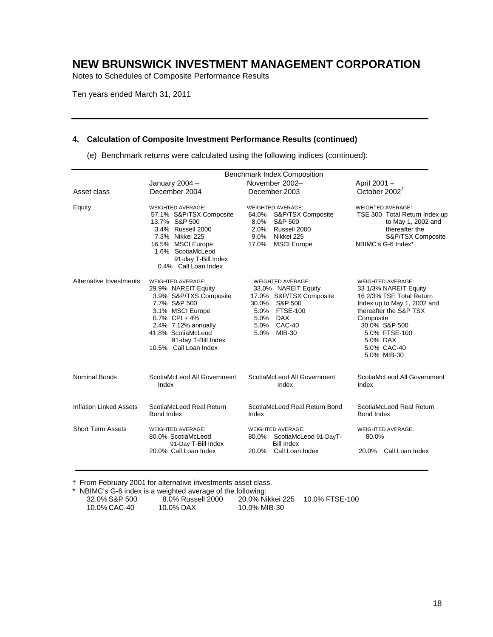Notes to Schedules of Composite Performance Results

Ten years ended March 31, 2011

#### **4. Calculation of Composite Investment Performance Results (continued)**

(e) Benchmark returns were calculated using the following indices (continued):

| <b>Benchmark Index Composition</b> |                                                                                                                                                                                                                                |                                                                                                                                                              |                                                                                                                                                                                                                                 |  |
|------------------------------------|--------------------------------------------------------------------------------------------------------------------------------------------------------------------------------------------------------------------------------|--------------------------------------------------------------------------------------------------------------------------------------------------------------|---------------------------------------------------------------------------------------------------------------------------------------------------------------------------------------------------------------------------------|--|
|                                    | January $2004 -$                                                                                                                                                                                                               | November 2002-                                                                                                                                               | April 2001 -                                                                                                                                                                                                                    |  |
| Asset class                        | December 2004                                                                                                                                                                                                                  | December 2003                                                                                                                                                | October 2002 <sup>†</sup>                                                                                                                                                                                                       |  |
| Equity                             | <b>WEIGHTED AVERAGE:</b><br>57.1% S&P/TSX Composite<br>13.7% S&P 500<br>3.4% Russell 2000<br>7.3% Nikkei 225<br>16.5% MSCI Europe<br>1.6% ScotiaMcLeod<br>91-day T-Bill Index<br>0.4% Call Loan Index                          | <b>WEIGHTED AVERAGE:</b><br>S&P/TSX Composite<br>64.0%<br>S&P 500<br>8.0%<br>2.0%<br>Russell 2000<br>9.0%<br>Nikkei 225<br>17.0%<br><b>MSCI</b> Europe       | <b>WEIGHTED AVERAGE:</b><br>TSE 300 Total Return Index up<br>to May 1, 2002 and<br>thereafter the<br>S&P/TSX Composite<br>NBIMC's G-6 Index*                                                                                    |  |
| Alternative Investments            | <b>WEIGHTED AVERAGE:</b><br>29.9% NAREIT Equity<br>3.9% S&P/TXS Composite<br>7.7% S&P 500<br>3.1% MSCI Europe<br>$0.7\%$ CPI + 4%<br>2.4% 7.12% annually<br>41.8% ScotiaMcLeod<br>91-day T-Bill Index<br>10.5% Call Loan Index | <b>WEIGHTED AVERAGE:</b><br>33.0% NAREIT Equity<br>17.0% S&P/TSX Composite<br>30.0%<br>S&P 500<br>5.0% FTSE-100<br>5.0% DAX<br>5.0% CAC-40<br>5.0%<br>MIB-30 | <b>WEIGHTED AVERAGE:</b><br>33 1/3% NAREIT Equity<br>16 2/3% TSE Total Return<br>Index up to May 1, 2002 and<br>thereafter the S&P TSX<br>Composite<br>30.0% S&P 500<br>5.0% FTSE-100<br>5.0% DAX<br>5.0% CAC-40<br>5.0% MIB-30 |  |
| <b>Nominal Bonds</b>               | ScotiaMcLeod All Government<br>Index                                                                                                                                                                                           | ScotiaMcLeod All Government<br>Index                                                                                                                         | ScotiaMcLeod All Government<br>Index                                                                                                                                                                                            |  |
| <b>Inflation Linked Assets</b>     | ScotiaMcLeod Real Return<br>Bond Index                                                                                                                                                                                         | ScotiaMcLeod Real Return Bond<br>Index                                                                                                                       | ScotiaMcLeod Real Return<br>Bond Index                                                                                                                                                                                          |  |
| <b>Short Term Assets</b>           | <b>WEIGHTED AVERAGE:</b><br>80.0% ScotiaMcLeod<br>91-Day T-Bill Index                                                                                                                                                          | <b>WEIGHTED AVERAGE:</b><br>80.0%<br>ScotiaMcLeod 91-DayT-<br><b>Bill Index</b>                                                                              | <b>WEIGHTED AVERAGE:</b><br>80.0%                                                                                                                                                                                               |  |
|                                    | 20.0% Call Loan Index                                                                                                                                                                                                          | 20.0%<br>Call Loan Index                                                                                                                                     | 20.0% Call Loan Index                                                                                                                                                                                                           |  |

† From February 2001 for alternative investments asset class.

|               | * NBIMC's G-6 index is a weighted average of the following: |                  |                |
|---------------|-------------------------------------------------------------|------------------|----------------|
| 32.0% S&P 500 | 8.0% Russell 2000                                           | 20.0% Nikkei 225 | 10.0% FTSE-100 |
| 10.0% CAC-40  | 10.0% DAX                                                   | 10.0% MIB-30     |                |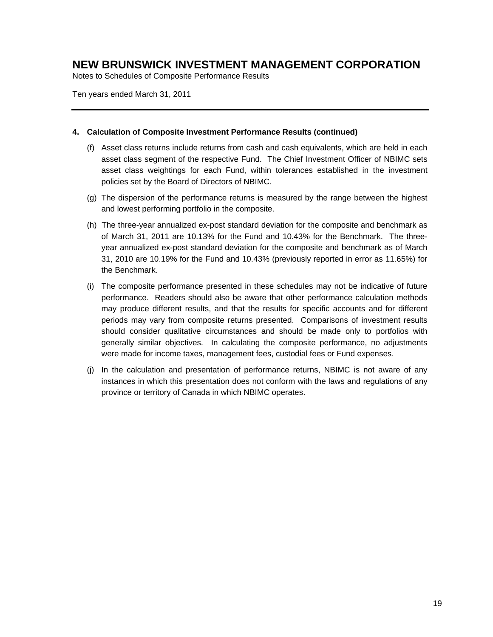Notes to Schedules of Composite Performance Results

Ten years ended March 31, 2011

#### **4. Calculation of Composite Investment Performance Results (continued)**

- (f) Asset class returns include returns from cash and cash equivalents, which are held in each asset class segment of the respective Fund. The Chief Investment Officer of NBIMC sets asset class weightings for each Fund, within tolerances established in the investment policies set by the Board of Directors of NBIMC.
- (g) The dispersion of the performance returns is measured by the range between the highest and lowest performing portfolio in the composite.
- (h) The three-year annualized ex-post standard deviation for the composite and benchmark as of March 31, 2011 are 10.13% for the Fund and 10.43% for the Benchmark. The threeyear annualized ex-post standard deviation for the composite and benchmark as of March 31, 2010 are 10.19% for the Fund and 10.43% (previously reported in error as 11.65%) for the Benchmark.
- (i) The composite performance presented in these schedules may not be indicative of future performance. Readers should also be aware that other performance calculation methods may produce different results, and that the results for specific accounts and for different periods may vary from composite returns presented. Comparisons of investment results should consider qualitative circumstances and should be made only to portfolios with generally similar objectives. In calculating the composite performance, no adjustments were made for income taxes, management fees, custodial fees or Fund expenses.
- (j) In the calculation and presentation of performance returns, NBIMC is not aware of any instances in which this presentation does not conform with the laws and regulations of any province or territory of Canada in which NBIMC operates.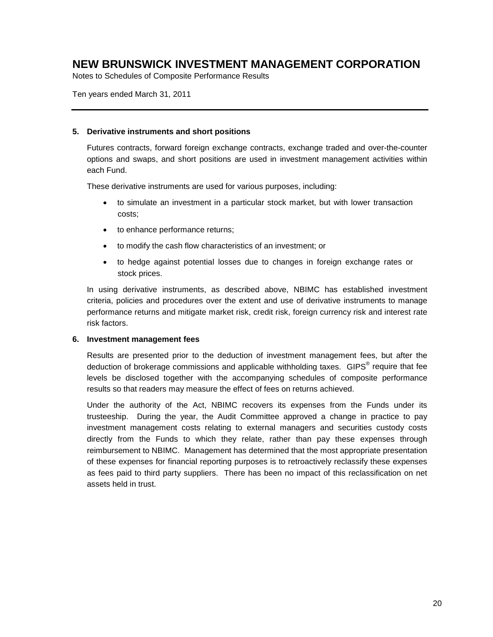Notes to Schedules of Composite Performance Results

Ten years ended March 31, 2011

#### **5. Derivative instruments and short positions**

Futures contracts, forward foreign exchange contracts, exchange traded and over-the-counter options and swaps, and short positions are used in investment management activities within each Fund.

These derivative instruments are used for various purposes, including:

- to simulate an investment in a particular stock market, but with lower transaction costs;
- to enhance performance returns;
- to modify the cash flow characteristics of an investment; or
- to hedge against potential losses due to changes in foreign exchange rates or stock prices.

In using derivative instruments, as described above, NBIMC has established investment criteria, policies and procedures over the extent and use of derivative instruments to manage performance returns and mitigate market risk, credit risk, foreign currency risk and interest rate risk factors.

#### **6. Investment management fees**

Results are presented prior to the deduction of investment management fees, but after the deduction of brokerage commissions and applicable withholding taxes. GIPS<sup>®</sup> require that fee levels be disclosed together with the accompanying schedules of composite performance results so that readers may measure the effect of fees on returns achieved.

Under the authority of the Act, NBIMC recovers its expenses from the Funds under its trusteeship. During the year, the Audit Committee approved a change in practice to pay investment management costs relating to external managers and securities custody costs directly from the Funds to which they relate, rather than pay these expenses through reimbursement to NBIMC. Management has determined that the most appropriate presentation of these expenses for financial reporting purposes is to retroactively reclassify these expenses as fees paid to third party suppliers. There has been no impact of this reclassification on net assets held in trust.